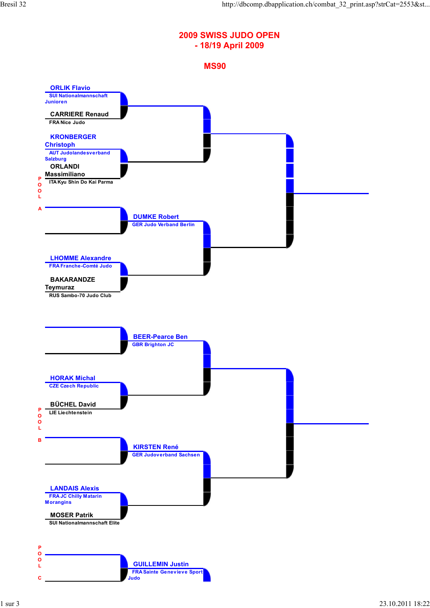## **2009 SWISS JUDO OPEN - 18/19 April 2009**



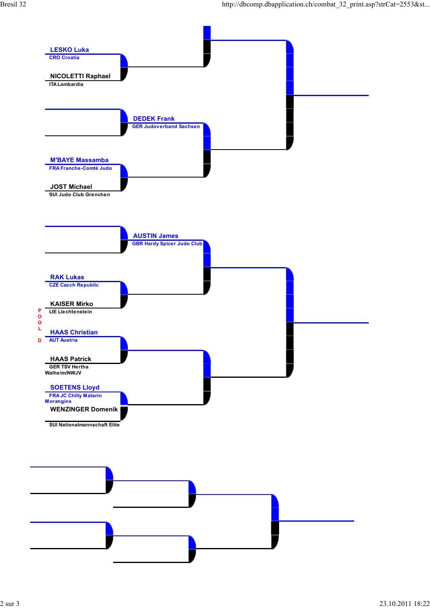